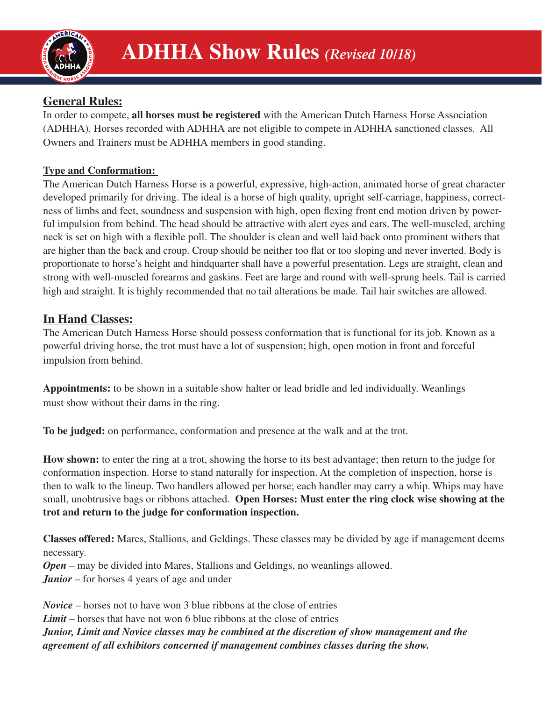

# **General Rules:**

In order to compete, **all horses must be registered** with the American Dutch Harness Horse Association (ADHHA). Horses recorded with ADHHA are not eligible to compete in ADHHA sanctioned classes. All Owners and Trainers must be ADHHA members in good standing.

## **Type and Conformation:**

The American Dutch Harness Horse is a powerful, expressive, high-action, animated horse of great character developed primarily for driving. The ideal is a horse of high quality, upright self-carriage, happiness, correctness of limbs and feet, soundness and suspension with high, open flexing front end motion driven by powerful impulsion from behind. The head should be attractive with alert eyes and ears. The well-muscled, arching neck is set on high with a flexible poll. The shoulder is clean and well laid back onto prominent withers that are higher than the back and croup. Croup should be neither too flat or too sloping and never inverted. Body is proportionate to horse's height and hindquarter shall have a powerful presentation. Legs are straight, clean and strong with well-muscled forearms and gaskins. Feet are large and round with well-sprung heels. Tail is carried high and straight. It is highly recommended that no tail alterations be made. Tail hair switches are allowed.

## **In Hand Classes:**

The American Dutch Harness Horse should possess conformation that is functional for its job. Known as a powerful driving horse, the trot must have a lot of suspension; high, open motion in front and forceful impulsion from behind.

**Appointments:** to be shown in a suitable show halter or lead bridle and led individually. Weanlings must show without their dams in the ring.

**To be judged:** on performance, conformation and presence at the walk and at the trot.

**How shown:** to enter the ring at a trot, showing the horse to its best advantage; then return to the judge for conformation inspection. Horse to stand naturally for inspection. At the completion of inspection, horse is then to walk to the lineup. Two handlers allowed per horse; each handler may carry a whip. Whips may have small, unobtrusive bags or ribbons attached. **Open Horses: Must enter the ring clock wise showing at the trot and return to the judge for conformation inspection.**

**Classes offered:** Mares, Stallions, and Geldings. These classes may be divided by age if management deems necessary. *Open* – may be divided into Mares, Stallions and Geldings, no weanlings allowed. *Junior* – for horses 4 years of age and under

*Novice* – horses not to have won 3 blue ribbons at the close of entries *Limit* – horses that have not won 6 blue ribbons at the close of entries *Junior, Limit and Novice classes may be combined at the discretion of show management and the agreement of all exhibitors concerned if management combines classes during the show.*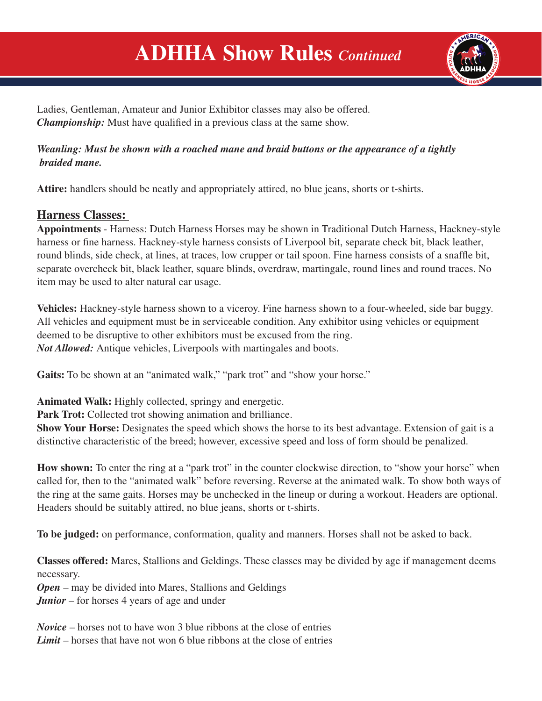# **ADHHA Show Rules** *Continued*



Ladies, Gentleman, Amateur and Junior Exhibitor classes may also be offered. *Championship:* Must have qualified in a previous class at the same show.

#### *Weanling: Must be shown with a roached mane and braid buttons or the appearance of a tightly braided mane.*

**Attire:** handlers should be neatly and appropriately attired, no blue jeans, shorts or t-shirts.

## **Harness Classes:**

**Appointments** - Harness: Dutch Harness Horses may be shown in Traditional Dutch Harness, Hackney-style harness or fine harness. Hackney-style harness consists of Liverpool bit, separate check bit, black leather, round blinds, side check, at lines, at traces, low crupper or tail spoon. Fine harness consists of a snaffle bit, separate overcheck bit, black leather, square blinds, overdraw, martingale, round lines and round traces. No item may be used to alter natural ear usage.

**Vehicles:** Hackney-style harness shown to a viceroy. Fine harness shown to a four-wheeled, side bar buggy. All vehicles and equipment must be in serviceable condition. Any exhibitor using vehicles or equipment deemed to be disruptive to other exhibitors must be excused from the ring. *Not Allowed:* Antique vehicles, Liverpools with martingales and boots.

Gaits: To be shown at an "animated walk," "park trot" and "show your horse."

**Animated Walk:** Highly collected, springy and energetic.

**Park Trot:** Collected trot showing animation and brilliance.

**Show Your Horse:** Designates the speed which shows the horse to its best advantage. Extension of gait is a distinctive characteristic of the breed; however, excessive speed and loss of form should be penalized.

**How shown:** To enter the ring at a "park trot" in the counter clockwise direction, to "show your horse" when called for, then to the "animated walk" before reversing. Reverse at the animated walk. To show both ways of the ring at the same gaits. Horses may be unchecked in the lineup or during a workout. Headers are optional. Headers should be suitably attired, no blue jeans, shorts or t-shirts.

**To be judged:** on performance, conformation, quality and manners. Horses shall not be asked to back.

**Classes offered:** Mares, Stallions and Geldings. These classes may be divided by age if management deems necessary.

*Open* – may be divided into Mares, Stallions and Geldings *Junior* – for horses 4 years of age and under

*Novice* – horses not to have won 3 blue ribbons at the close of entries *Limit* – horses that have not won 6 blue ribbons at the close of entries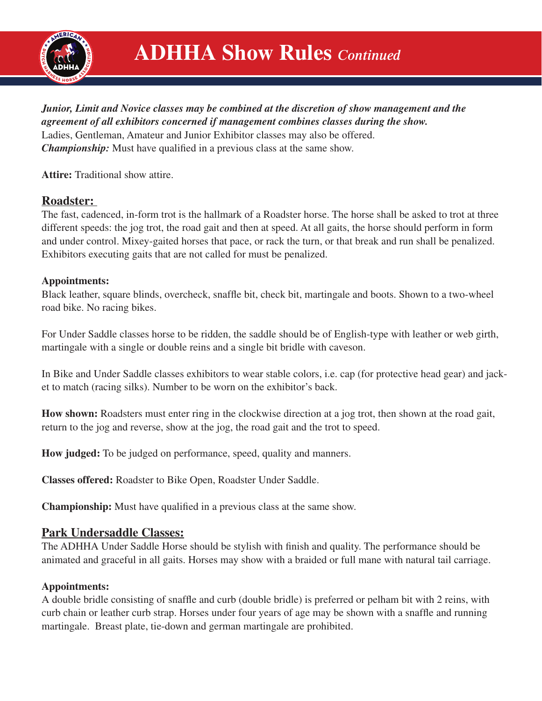

## *Junior, Limit and Novice classes may be combined at the discretion of show management and the agreement of all exhibitors concerned if management combines classes during the show.*

Ladies, Gentleman, Amateur and Junior Exhibitor classes may also be offered. *Championship:* Must have qualified in a previous class at the same show.

**Attire:** Traditional show attire.

## **Roadster:**

The fast, cadenced, in-form trot is the hallmark of a Roadster horse. The horse shall be asked to trot at three different speeds: the jog trot, the road gait and then at speed. At all gaits, the horse should perform in form and under control. Mixey-gaited horses that pace, or rack the turn, or that break and run shall be penalized. Exhibitors executing gaits that are not called for must be penalized.

#### **Appointments:**

Black leather, square blinds, overcheck, snaffle bit, check bit, martingale and boots. Shown to a two-wheel road bike. No racing bikes.

For Under Saddle classes horse to be ridden, the saddle should be of English-type with leather or web girth, martingale with a single or double reins and a single bit bridle with caveson.

In Bike and Under Saddle classes exhibitors to wear stable colors, i.e. cap (for protective head gear) and jacket to match (racing silks). Number to be worn on the exhibitor's back.

**How shown:** Roadsters must enter ring in the clockwise direction at a jog trot, then shown at the road gait, return to the jog and reverse, show at the jog, the road gait and the trot to speed.

**How judged:** To be judged on performance, speed, quality and manners.

**Classes offered:** Roadster to Bike Open, Roadster Under Saddle.

**Championship:** Must have qualified in a previous class at the same show.

## **Park Undersaddle Classes:**

The ADHHA Under Saddle Horse should be stylish with finish and quality. The performance should be animated and graceful in all gaits. Horses may show with a braided or full mane with natural tail carriage.

#### **Appointments:**

A double bridle consisting of snaffle and curb (double bridle) is preferred or pelham bit with 2 reins, with curb chain or leather curb strap. Horses under four years of age may be shown with a snaffle and running martingale. Breast plate, tie-down and german martingale are prohibited.